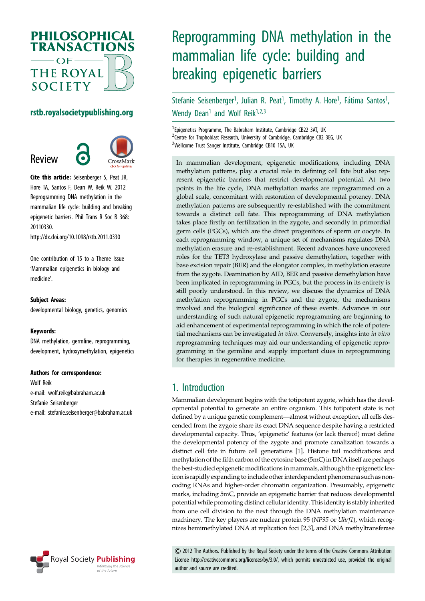

#### rstb.royalsocietypublishing.org

Review



Cite this article: Seisenberger S, Peat JR, Hore TA, Santos F, Dean W, Reik W. 2012 Reprogramming DNA methylation in the mammalian life cycle: building and breaking epigenetic barriers. Phil Trans R Soc B 368: 20110330.

http://dx.doi.org/10.1098/rstb.2011.0330

One contribution of 15 to a Theme Issue 'Mammalian epigenetics in biology and medicine'.

#### Subject Areas:

developmental biology, genetics, genomics

#### Keywords:

DNA methylation, germline, reprogramming, development, hydroxymethylation, epigenetics

#### Authors for correspondence:

Wolf Reik e-mail: [wolf.reik@babraham.ac.uk](mailto:wolf.reik@babraham.ac.uk) [Stefanie Seisenberger](mailto:wolf.reik@babraham.ac.uk) [e-mail: stefanie.seisenberger@babraham.ac.uk](mailto:stefanie.seisenberger@babraham.ac.uk)



Stefanie Seisenberger<sup>1</sup>, Julian R. Peat<sup>1</sup>, Timothy A. Hore<sup>1</sup>, Fátima Santos<sup>1</sup> , Wendy Dean<sup>1</sup> and Wolf Reik<sup>1,2,3</sup>

<sup>1</sup> Epigenetics Programme, The Babraham Institute, Cambridge CB22 3AT, UK <sup>2</sup>Centre for Trophoblast Research, University of Cambridge, Cambridge CB2 3EG, UK <sup>3</sup>Wellcome Trust Sanger Institute, Cambridge CB10 1SA, UK

In mammalian development, epigenetic modifications, including DNA methylation patterns, play a crucial role in defining cell fate but also represent epigenetic barriers that restrict developmental potential. At two points in the life cycle, DNA methylation marks are reprogrammed on a global scale, concomitant with restoration of developmental potency. DNA methylation patterns are subsequently re-established with the commitment towards a distinct cell fate. This reprogramming of DNA methylation takes place firstly on fertilization in the zygote, and secondly in primordial germ cells (PGCs), which are the direct progenitors of sperm or oocyte. In each reprogramming window, a unique set of mechanisms regulates DNA methylation erasure and re-establishment. Recent advances have uncovered roles for the TET3 hydroxylase and passive demethylation, together with base excision repair (BER) and the elongator complex, in methylation erasure from the zygote. Deamination by AID, BER and passive demethylation have been implicated in reprogramming in PGCs, but the process in its entirety is still poorly understood. In this review, we discuss the dynamics of DNA methylation reprogramming in PGCs and the zygote, the mechanisms involved and the biological significance of these events. Advances in our understanding of such natural epigenetic reprogramming are beginning to aid enhancement of experimental reprogramming in which the role of potential mechanisms can be investigated in vitro. Conversely, insights into in vitro reprogramming techniques may aid our understanding of epigenetic reprogramming in the germline and supply important clues in reprogramming for therapies in regenerative medicine.

## 1. Introduction

Mammalian development begins with the totipotent zygote, which has the developmental potential to generate an entire organism. This totipotent state is not defined by a unique genetic complement—almost without exception, all cells descended from the zygote share its exact DNA sequence despite having a restricted developmental capacity. Thus, 'epigenetic' features (or lack thereof) must define the developmental potency of the zygote and promote canalization towards a distinct cell fate in future cell generations [[1](#page-7-0)]. Histone tail modifications and methylation of the fifth carbon of the cytosine base (5mC) in DNA itself are perhaps the best-studied epigenetic modifications in mammals, although the epigenetic lexicon is rapidly expanding to include other interdependent phenomena such as noncoding RNAs and higher-order chromatin organization. Presumably, epigenetic marks, including 5mC, provide an epigenetic barrier that reduces developmental potential while promoting distinct cellular identity. This identity is stably inherited from one cell division to the next through the DNA methylation maintenance machinery. The key players are nuclear protein 95 (NP95 or Uhrf1), which recognizes hemimethylated DNA at replication foci [[2,3\]](#page-7-0), and DNA methyltransferase

Royal Society **Publishing**<br>Informing the science of the future

& 2012 The Authors. Published by the Royal Society under the terms of the Creative Commons Attribution License http://creativecommons.org/licenses/by/3.0/, which permits unrestricted use, provided the original author and source are credited.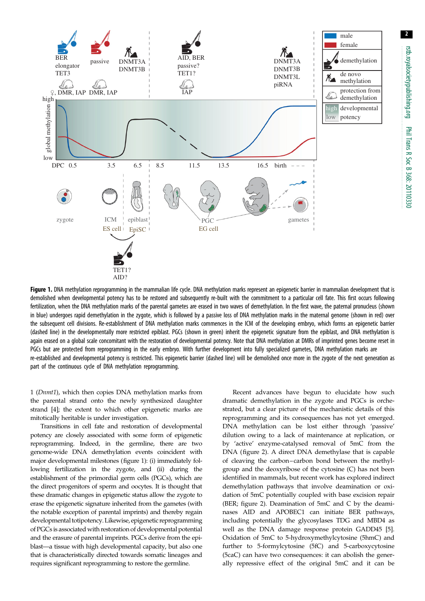<span id="page-1-0"></span>

Figure 1. DNA methylation reprogramming in the mammalian life cycle. DNA methylation marks represent an epigenetic barrier in mammalian development that is demolished when developmental potency has to be restored and subsequently re-built with the commitment to a particular cell fate. This first occurs following fertilization, when the DNA methylation marks of the parental gametes are erased in two waves of demethylation. In the first wave, the paternal pronucleus (shown in blue) undergoes rapid demethylation in the zygote, which is followed by a passive loss of DNA methylation marks in the maternal genome (shown in red) over the subsequent cell divisions. Re-establishment of DNA methylation marks commences in the ICM of the developing embryo, which forms an epigenetic barrier (dashed line) in the developmentally more restricted epiblast. PGCs (shown in green) inherit the epigenetic signature from the epiblast, and DNA methylation is again erased on a global scale concomitant with the restoration of developmental potency. Note that DNA methylation at DMRs of imprinted genes become reset in PGCs but are protected from reprogramming in the early embryo. With further development into fully specialized gametes, DNA methylation marks are re-established and developmental potency is restricted. This epigenetic barrier (dashed line) will be demolished once more in the zygote of the next generation as part of the continuous cycle of DNA methylation reprogramming.

1 (Dnmt1), which then copies DNA methylation marks from the parental strand onto the newly synthesized daughter strand [\[4\]](#page-7-0); the extent to which other epigenetic marks are mitotically heritable is under investigation.

Transitions in cell fate and restoration of developmental potency are closely associated with some form of epigenetic reprogramming. Indeed, in the germline, there are two genome-wide DNA demethylation events coincident with major developmental milestones (figure 1): (i) immediately following fertilization in the zygote, and (ii) during the establishment of the primordial germ cells (PGCs), which are the direct progenitors of sperm and oocytes. It is thought that these dramatic changes in epigenetic status allow the zygote to erase the epigenetic signature inherited from the gametes (with the notable exception of parental imprints) and thereby regain developmental totipotency. Likewise, epigenetic reprogramming of PGCs is associated with restoration of developmental potential and the erasure of parental imprints. PGCs derive from the epiblast—a tissue with high developmental capacity, but also one that is characteristically directed towards somatic lineages and requires significant reprogramming to restore the germline.

Recent advances have begun to elucidate how such dramatic demethylation in the zygote and PGCs is orchestrated, but a clear picture of the mechanistic details of this reprogramming and its consequences has not yet emerged. DNA methylation can be lost either through 'passive' dilution owing to a lack of maintenance at replication, or by 'active' enzyme-catalysed removal of 5mC from the DNA [\(figure 2](#page-2-0)). A direct DNA demethylase that is capable of cleaving the carbon–carbon bond between the methylgroup and the deoxyribose of the cytosine (C) has not been identified in mammals, but recent work has explored indirect demethylation pathways that involve deamination or oxidation of 5mC potentially coupled with base excision repair (BER; [figure 2](#page-2-0)). Deamination of 5mC and C by the deaminases AID and APOBEC1 can initiate BER pathways, including potentially the glycosylases TDG and MBD4 as well as the DNA damage response protein GADD45 [5]. Oxidation of 5mC to 5-hydroxymethylcytosine (5hmC) and further to 5-formylcytosine (5fC) and 5-carboxycytosine (5caC) can have two consequences: it can abolish the generally repressive effect of the original 5mC and it can be

2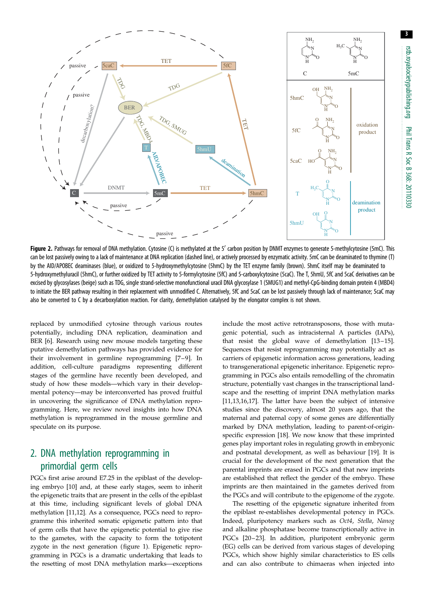<span id="page-2-0"></span>

Figure 2. Pathways for removal of DNA methylation. Cytosine (C) is methylated at the 5' carbon position by DNMT enzymes to generate 5-methylcytosine (5mC). This can be lost passively owing to a lack of maintenance at DNA replication (dashed line), or actively processed by enzymatic activity. 5mC can be deaminated to thymine (T) by the AID/APOBEC deaminases (blue), or oxidized to 5-hydroxymethylcytosine (5hmC) by the TET enzyme family (brown). 5hmC itself may be deaminated to 5-hydroxymethyluracil (5hmC), or further oxidized by TET activity to 5-formylcytosine (5fC) and 5-carboxylcytosine (5caC). The T, 5hmU, 5fC and 5caC derivatives can be excised by glycosylases (beige) such as TDG, single strand-selective monofunctional uracil DNA glycosylase 1 (SMUG1) and methyl-CpG-binding domain protein 4 (MBD4) to initiate the BER pathway resulting in their replacement with unmodified C. Alternatively, 5fC and 5caC can be lost passively through lack of maintenance; 5caC may also be converted to C by a decarboxylation reaction. For clarity, demethylation catalysed by the elongator complex is not shown.

replaced by unmodified cytosine through various routes potentially, including DNA replication, deamination and BER [[6](#page-7-0)]. Research using new mouse models targeting these putative demethylation pathways has provided evidence for their involvement in germline reprogramming [[7](#page-7-0)–[9\]](#page-7-0). In addition, cell-culture paradigms representing different stages of the germline have recently been developed, and study of how these models—which vary in their developmental potency—may be interconverted has proved fruitful in uncovering the significance of DNA methylation reprogramming. Here, we review novel insights into how DNA methylation is reprogrammed in the mouse germline and speculate on its purpose.

### 2. DNA methylation reprogramming in primordial germ cells

PGCs first arise around E7.25 in the epiblast of the developing embryo [\[10](#page-7-0)] and, at these early stages, seem to inherit the epigenetic traits that are present in the cells of the epiblast at this time, including significant levels of global DNA methylation [[11,12](#page-7-0)]. As a consequence, PGCs need to reprogramme this inherited somatic epigenetic pattern into that of germ cells that have the epigenetic potential to give rise to the gametes, with the capacity to form the totipotent zygote in the next generation ([figure 1](#page-1-0)). Epigenetic reprogramming in PGCs is a dramatic undertaking that leads to the resetting of most DNA methylation marks—exceptions include the most active retrotransposons, those with mutagenic potential, such as intracisternal A particles (IAPs), that resist the global wave of demethylation [\[13](#page-7-0)–[15\]](#page-7-0). Sequences that resist reprogramming may potentially act as carriers of epigenetic information across generations, leading to transgenerational epigenetic inheritance. Epigenetic reprogramming in PGCs also entails remodelling of the chromatin structure, potentially vast changes in the transcriptional landscape and the resetting of imprint DNA methylation marks [[11,13,16,17](#page-7-0)]. The latter have been the subject of intensive studies since the discovery, almost 20 years ago, that the maternal and paternal copy of some genes are differentially marked by DNA methylation, leading to parent-of-originspecific expression [[18\]](#page-7-0). We now know that these imprinted genes play important roles in regulating growth in embryonic and postnatal development, as well as behaviour [[19\]](#page-7-0). It is crucial for the development of the next generation that the parental imprints are erased in PGCs and that new imprints are established that reflect the gender of the embryo. These imprints are then maintained in the gametes derived from the PGCs and will contribute to the epigenome of the zygote.

The resetting of the epigenetic signature inherited from the epiblast re-establishes developmental potency in PGCs. Indeed, pluripotency markers such as Oct4, Stella, Nanog and alkaline phosphatase become transcriptionally active in PGCs [[20](#page-7-0)-[23](#page-7-0)]. In addition, pluripotent embryonic germ (EG) cells can be derived from various stages of developing PGCs, which show highly similar characteristics to ES cells and can also contribute to chimaeras when injected into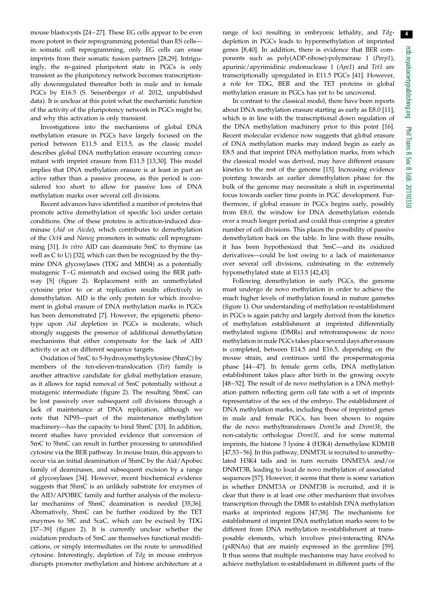mouse blastocysts [\[24](#page-7-0)-27]. These EG cells appear to be even more potent in their reprogramming potential than ES cells in somatic cell reprogramming, only EG cells can erase imprints from their somatic fusion partners [\[28](#page-7-0),[29\]](#page-7-0). Intriguingly, the re-gained pluripotent state in PGCs is only transient as the pluripotency network becomes transcriptionally downregulated thereafter both in male and in female PGCs by E16.5 (S. Seisenberger et al. 2012, unpublished data). It is unclear at this point what the mechanistic function of the activity of the pluripotency network in PGCs might be, and why this activation is only transient.

Investigations into the mechanisms of global DNA methylation erasure in PGCs have largely focused on the period between E11.5 and E13.5, as the classic model describes global DNA methylation erasure occurring concomitant with imprint erasure from E11.5 [\[13,30](#page-7-0)]. This model implies that DNA methylation erasure is at least in part an active rather than a passive process, as this period is considered too short to allow for passive loss of DNA methylation marks over several cell divisions.

Recent advances have identified a number of proteins that promote active demethylation of specific loci under certain conditions. One of these proteins is activation-induced deaminase (Aid or Aicda), which contributes to demethylation of the Oct4 and Nanog promoters in somatic cell reprogramming [[31\]](#page-7-0). In vitro AID can deaminate 5mC to thymine (as well as C to U) [[32\]](#page-8-0), which can then be recognized by the thymine DNA glycosylases (TDG and MBD4) as a potentially mutagenic T-G mismatch and excised using the BER pathway [\[5\]](#page-7-0) ([figure 2\)](#page-2-0). Replacement with an unmethylated cytosine prior to or at replication results effectively in demethylation. AID is the only protein for which involvement in global erasure of DNA methylation marks in PGCs has been demonstrated [[7](#page-7-0)]. However, the epigenetic phenotype upon Aid depletion in PGCs is moderate, which strongly suggests the presence of additional demethylation mechanisms that either compensate for the lack of AID activity or act on different sequence targets.

Oxidation of 5mC to 5-hydroxymethylcytosine (5hmC) by members of the ten-eleven-translocation (Tet) family is another attractive candidate for global methylation erasure, as it allows for rapid removal of 5mC potentially without a mutagenic intermediate [\(figure 2](#page-2-0)). The resulting 5hmC can be lost passively over subsequent cell divisions through a lack of maintenance at DNA replication, although we note that NP95—part of the maintenance methylation machinery—has the capacity to bind 5hmC [\[33](#page-8-0)]. In addition, recent studies have provided evidence that conversion of 5mC to 5hmC can result in further processing to unmodified cytosine via the BER pathway. In mouse brain, this appears to occur via an initial deamination of 5hmC by the Aid/Apobec family of deaminases, and subsequent excision by a range of glycosylases [[34\]](#page-8-0). However, recent biochemical evidence suggests that 5hmC is an unlikely substrate for enzymes of the AID/APOBEC family and further analysis of the molecular mechanims of 5hmC deamination is needed [\[35,36](#page-8-0)]. Alternatively, 5hmC can be further oxidized by the TET enzymes to 5fC and 5caC, which can be excised by TDG [\[37](#page-8-0)-[39\]](#page-8-0) [\(figure 2](#page-2-0)). It is currently unclear whether the oxidation products of 5mC are themselves functional modifications, or simply intermediates on the route to unmodified cytosine. Interestingly, depletion of Tdg in mouse embryos disrupts promoter methylation and histone architecture at a

range of loci resulting in embryonic lethality, and Tdgdepletion in PGCs leads to hypermethylation of imprinted genes [\[8,](#page-7-0)[40](#page-8-0)]. In addition, there is evidence that BER components such as poly(ADP-ribose)-polymerase 1 (Parp1), apurinic/apyrimidinic endonuclease 1 (Ape1) and Tet1 are transcriptionally upregulated in E11.5 PGCs [[41\]](#page-8-0). However, a role for TDG, BER and the TET proteins in global methylation erasure in PGCs has yet to be uncovered.

In contrast to the classical model, there have been reports about DNA methylation erasure starting as early as E8.0 [[11\]](#page-7-0), which is in line with the transcriptional down regulation of the DNA methylation machinery prior to this point [[16\]](#page-7-0). Recent molecular evidence now suggests that global erasure of DNA methylation marks may indeed begin as early as E8.5 and that imprint DNA methylation marks, from which the classical model was derived, may have different erasure kinetics to the rest of the genome [[15\]](#page-7-0). Increasing evidence pointing towards an earlier demethylation phase for the bulk of the genome may necessitate a shift in experimental focus towards earlier time points in PGC development. Furthermore, if global erasure in PGCs begins early, possibly from E8.0, the window for DNA demethylation extends over a much longer period and could thus comprise a greater number of cell divisions. This places the possibility of passive demethylation back on the table. In line with these results, it has been hypothesized that 5mC—and its oxidized derivatives—could be lost owing to a lack of maintenance over several cell divisions, culminating in the extremely hypomethylated state at E13.5 [[42,43](#page-8-0)].

Following demethylation in early PGCs, the genome must undergo de novo methylation in order to achieve the much higher levels of methylation found in mature gametes ([figure 1](#page-1-0)). Our understanding of methylation re-establishment in PGCs is again patchy and largely derived from the kinetics of methylation establishment at imprinted differentially methylated regions (DMRs) and retrotransposons: de novo methylation in male PGCs takes place several days after erasure is completed, between E14.5 and E16.5, depending on the mouse strain, and continues until the prospermatogonia phase [[44](#page-8-0)–[47\]](#page-8-0). In female germ cells, DNA methylation establishment takes place after birth in the growing oocyte [[48](#page-8-0)–[52\]](#page-8-0). The result of de novo methylation is a DNA methylation pattern reflecting germ cell fate with a set of imprints representative of the sex of the embryo. The establishment of DNA methylation marks, including those of imprinted genes in male and female PGCs, has been shown to require the de novo methyltransferases Dnmt3a and Dnmt3b, the non-catalytic orthologue Dnmt3l, and for some maternal imprints, the histone 3 lysine 4 (H3K4) demethylase KDM1B [[47,53](#page-8-0)–[56\]](#page-8-0). In this pathway, DNMT3L is recruited to unmethylated H3K4 tails and in turn recruits DNMT3A and/or DNMT3B, leading to local de novo methylation of associated sequences [\[57](#page-8-0)]. However, it seems that there is some variation in whether DNMT3A or DNMT3B is recruited, and it is clear that there is at least one other mechanism that involves transcription through the DMR to establish DNA methylation marks at imprinted regions [\[47](#page-8-0),[58](#page-8-0)]. The mechanisms for establishment of imprint DNA methylation marks seem to be different from DNA methylation re-establishment at transposable elements, which involves piwi-interacting RNAs (piRNAs) that are mainly expressed in the germline [[59\]](#page-8-0). It thus seems that multiple mechanisms may have evolved to achieve methylation re-establishment in different parts of the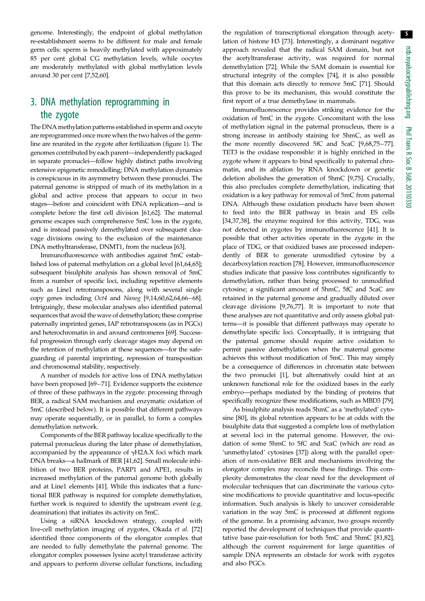genome. Interestingly, the endpoint of global methylation re-establishment seems to be different for male and female germ cells: sperm is heavily methylated with approximately 85 per cent global CG methylation levels, while oocytes are moderately methylated with global methylation levels around 30 per cent [[7](#page-7-0),[52](#page-8-0),[60\]](#page-8-0).

# 3. DNA methylation reprogramming in the zygote

The DNA methylation patterns established in sperm and oocyte are reprogrammed once more when the two halves of the germline are reunited in the zygote after fertilization [\(figure 1](#page-1-0)). The genomes contributed by each parent—independently packaged in separate pronuclei—follow highly distinct paths involving extensive epigenetic remodelling; DNA methylation dynamics is conspicuous in its asymmetry between these pronuclei. The paternal genome is stripped of much of its methylation in a global and active process that appears to occur in two stages—before and coincident with DNA replication—and is complete before the first cell division [\[61,62\]](#page-8-0). The maternal genome escapes such comprehensive 5mC loss in the zygote, and is instead passively demethylated over subsequent cleavage divisions owing to the exclusion of the maintenance DNA methyltransferase, DNMT1, from the nucleus [[63\]](#page-8-0).

Immunofluorescence with antibodies against 5mC established loss of paternal methylation on a global level [[61](#page-8-0),[64](#page-8-0),[65](#page-8-0)]; subsequent bisulphite analysis has shown removal of 5mC from a number of specific loci, including repetitive elements such as Line1 retrotransposons, along with several single copy genes including Oct4 and Nanog [\[9,14](#page-7-0),[60](#page-8-0),[62](#page-8-0),[64](#page-8-0),[66](#page-8-0)–[68](#page-8-0)]. Intriguingly, these molecular analyses also identified paternal sequences that avoid the wave of demethylation; these comprise paternally imprinted genes, IAP retrotransposons (as in PGCs) and heterochromatin in and around centromeres [\[69](#page-8-0)]. Successful progression through early cleavage stages may depend on the retention of methylation at these sequences—for the safeguarding of parental imprinting, repression of transposition and chromosomal stability, respectively.

A number of models for active loss of DNA methylation have been proposed [[69](#page-8-0)-[71\]](#page-8-0). Evidence supports the existence of three of these pathways in the zygote: processing through BER, a radical SAM mechanism and enzymatic oxidation of 5mC (described below). It is possible that different pathways may operate sequentially, or in parallel, to form a complex demethylation network.

Components of the BER pathway localize specifically to the paternal pronucleus during the later phase of demethylation, accompanied by the appearance of  $\gamma$ H2A.X foci which mark DNA breaks—a hallmark of BER [\[41,62](#page-8-0)]. Small molecule inhibition of two BER proteins, PARP1 and APE1, results in increased methylation of the paternal genome both globally and at Line1 elements [[41](#page-8-0)]. While this indicates that a functional BER pathway is required for complete demethylation, further work is required to identify the upstream event (e.g. deamination) that initiates its activity on 5mC.

Using a siRNA knockdown strategy, coupled with live-cell methylation imaging of zygotes, Okada et al. [[72\]](#page-9-0) identified three components of the elongator complex that are needed to fully demethylate the paternal genome. The elongator complex possesses lysine acetyl transferase activity and appears to perform diverse cellular functions, including the regulation of transcriptional elongation through acetylation of histone H3 [\[73](#page-9-0)]. Interestingly, a dominant negative approach revealed that the radical SAM domain, but not the acetyltransferase activity, was required for normal demethylation [\[72](#page-9-0)]. While the SAM domain is essential for structural integrity of the complex [\[74](#page-9-0)], it is also possible that this domain acts directly to remove 5mC [[71\]](#page-8-0). Should this prove to be its mechanism, this would constitute the first report of a true demethylase in mammals.

Immunofluorescence provides striking evidence for the oxidation of 5mC in the zygote. Concomitant with the loss of methylation signal in the paternal pronucleus, there is a strong increase in antibody staining for 5hmC, as well as the more recently discovered 5fC and 5caC [\[9](#page-7-0)[,68](#page-8-0)[,75](#page-9-0)–[77\]](#page-9-0). TET3 is the oxidase responsible: it is highly enriched in the zygote where it appears to bind specifically to paternal chromatin, and its ablation by RNA knockdown or genetic deletion abolishes the generation of 5hmC [[9](#page-7-0),[75\]](#page-9-0). Crucially, this also precludes complete demethylation, indicating that oxidation is a key pathway for removal of 5mC from paternal DNA. Although these oxidation products have been shown to feed into the BER pathway in brain and ES cells [[34,37,38](#page-8-0)], the enzyme required for this activity, TDG, was not detected in zygotes by immunofluorescence [\[41](#page-8-0)]. It is possible that other activities operate in the zygote in the place of TDG, or that oxidized bases are processed independently of BER to generate unmodified cytosine by a decarboxylation reaction [[78\]](#page-9-0). However, immunofluorescence studies indicate that passive loss contributes significantly to demethylation, rather than being processed to unmodified cytosine; a significant amount of 5hmC, 5fC and 5caC are retained in the paternal genome and gradually diluted over cleavage divisions [\[9,](#page-7-0)[76,77](#page-9-0)]. It is important to note that these analyses are not quantitative and only assess global patterns—it is possible that different pathways may operate to demethylate specific loci. Conceptually, it is intriguing that the paternal genome should require active oxidation to permit passive demethylation when the maternal genome achieves this without modification of 5mC. This may simply be a consequence of differences in chromatin state between the two pronuclei [\[1\]](#page-7-0), but alternatively could hint at an unknown functional role for the oxidized bases in the early embryo—perhaps mediated by the binding of proteins that specifically recognize these modifications, such as MBD3 [[79\]](#page-9-0).

As bisulphite analysis reads 5hmC as a 'methylated' cytosine [[80](#page-9-0)], its global retention appears to be at odds with the bisulphite data that suggested a complete loss of methylation at several loci in the paternal genome. However, the oxidation of some 5hmC to 5fC and 5caC (which are read as 'unmethylated' cytosines [[37\]](#page-8-0)) along with the parallel operation of non-oxidative BER and mechanisms involving the elongator complex may reconcile these findings. This complexity demonstrates the clear need for the development of molecular techniques that can discriminate the various cytosine modifications to provide quantitative and locus-specific information. Such analysis is likely to uncover considerable variation in the way 5mC is processed at different regions of the genome. In a promising advance, two groups recently reported the development of techniques that provide quantitative base pair-resolution for both 5mC and 5hmC [\[81](#page-9-0),[82\]](#page-9-0), although the current requirement for large quantities of sample DNA represents an obstacle for work with zygotes and also PGCs.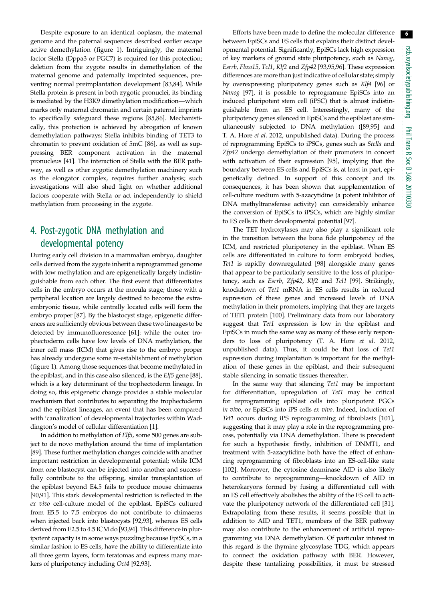Despite exposure to an identical ooplasm, the maternal genome and the paternal sequences described earlier escape active demethylation ([figure 1\)](#page-1-0). Intriguingly, the maternal factor Stella (Dppa3 or PGC7) is required for this protection; deletion from the zygote results in demethylation of the maternal genome and paternally imprinted sequences, preventing normal preimplantation development [[83,84\]](#page-9-0). While Stella protein is present in both zygotic pronuclei, its binding is mediated by the H3K9 dimethylation modification—which marks only maternal chromatin and certain paternal imprints to specifically safeguard these regions [[85,86\]](#page-9-0). Mechanistically, this protection is achieved by abrogation of known demethylation pathways: Stella inhibits binding of TET3 to chromatin to prevent oxidation of 5mC [\[86](#page-9-0)], as well as suppressing BER component activation in the maternal pronucleus [\[41](#page-8-0)]. The interaction of Stella with the BER pathway, as well as other zygotic demethylation machinery such as the elongator complex, requires further analysis; such investigations will also shed light on whether additional factors cooperate with Stella or act independently to shield methylation from processing in the zygote.

### 4. Post-zygotic DNA methylation and developmental potency

During early cell division in a mammalian embryo, daughter cells derived from the zygote inherit a reprogrammed genome with low methylation and are epigenetically largely indistinguishable from each other. The first event that differentiates cells in the embryo occurs at the morula stage; those with a peripheral location are largely destined to become the extraembryonic tissue, while centrally located cells will form the embryo proper [[87\]](#page-9-0). By the blastocyst stage, epigenetic differences are sufficiently obvious between these two lineages to be detected by immunofluorescence [\[61](#page-8-0)]: while the outer trophectoderm cells have low levels of DNA methylation, the inner cell mass (ICM) that gives rise to the embryo proper has already undergone some re-establishment of methylation [\(figure 1\)](#page-1-0). Among those sequences that become methylated in the epiblast, and in this case also silenced, is the Elf5 gene [\[88](#page-9-0)], which is a key determinant of the trophectoderm lineage. In doing so, this epigenetic change provides a stable molecular mechanism that contributes to separating the trophectoderm and the epiblast lineages, an event that has been compared with 'canalization' of developmental trajectories within Waddington's model of cellular differentiation [[1](#page-7-0)].

In addition to methylation of Elf5, some 500 genes are subject to de novo methylation around the time of implantation [\[89](#page-9-0)]. These further methylation changes coincide with another important restriction in developmental potential; while ICM from one blastocyst can be injected into another and successfully contribute to the offspring, similar transplantation of the epiblast beyond E4.5 fails to produce mouse chimaeras [\[90,91](#page-9-0)]. This stark developmental restriction is reflected in the ex vivo cell-culture model of the epiblast. EpiSCs cultured from E5.5 to 7.5 embryos do not contribute to chimaeras when injected back into blastocysts [\[92,93](#page-9-0)], whereas ES cells derived from E2.5 to 4.5 ICM do [\[93](#page-9-0),[94](#page-9-0)]. This difference in pluripotent capacity is in some ways puzzling because EpiSCs, in a similar fashion to ES cells, have the ability to differentiate into all three germ layers, form teratomas and express many markers of pluripotency including Oct4 [[92,93\]](#page-9-0).

Efforts have been made to define the molecular difference between EpiSCs and ES cells that explains their distinct developmental potential. Significantly, EpiSCs lack high expression of key markers of ground state pluripotency, such as Nanog, Esrrb, Fbxo15, Tcl1, Klf2 and Zfp42 [\[93](#page-9-0),[95](#page-9-0),[96\]](#page-9-0). These expression differences are more than just indicative of cellular state; simply by overexpressing pluripotency genes such as Klf4 [\[96](#page-9-0)] or Nanog [[97](#page-9-0)], it is possible to reprogramme EpiSCs into an induced pluripotent stem cell (iPSC) that is almost indistinguishable from an ES cell. Interestingly, many of the pluripotency genes silenced in EpiSCs and the epiblast are simultaneously subjected to DNA methylation ([\[89,95](#page-9-0)] and T. A. Hore et al. 2012, unpublished data). During the process of reprogramming EpiSCs to iPSCs, genes such as Stella and Zfp42 undergo demethylation of their promoters in concert with activation of their expression [\[95](#page-9-0)], implying that the boundary between ES cells and EpiSCs is, at least in part, epigenetically defined. In support of this concept and its consequences, it has been shown that supplementation of cell-culture medium with 5-azacytidine (a potent inhibitor of DNA methyltransferase activity) can considerably enhance the conversion of EpiSCs to iPSCs, which are highly similar to ES cells in their developmental potential [\[97\]](#page-9-0).

The TET hydroxylases may also play a significant role in the transition between the bona fide pluripotency of the ICM, and restricted pluripotency in the epiblast. When ES cells are differentiated in culture to form embryoid bodies, Tet1 is rapidly downregulated [\[98](#page-9-0)] alongside many genes that appear to be particularly sensitive to the loss of pluripotency, such as Esrrb, Zfp42, Klf2 and Tcl1 [\[99](#page-9-0)]. Strikingly, knockdown of Tet1 mRNA in ES cells results in reduced expression of these genes and increased levels of DNA methylation in their promoters, implying that they are targets of TET1 protein [\[100\]](#page-9-0). Preliminary data from our laboratory suggest that Tet1 expression is low in the epiblast and EpiSCs in much the same way as many of these early responders to loss of pluripotency (T. A. Hore et al. 2012, unpublished data). Thus, it could be that loss of Tet1 expression during implantation is important for the methylation of these genes in the epiblast, and their subsequent stable silencing in somatic tissues thereafter.

In the same way that silencing Tet1 may be important for differentiation, upregulation of Tet1 may be critical for reprogramming epiblast cells into pluripotent PGCs in vivo, or EpiSCs into iPS cells ex vivo. Indeed, induction of Tet1 occurs during iPS reprogramming of fibroblasts [\[101\]](#page-9-0), suggesting that it may play a role in the reprogramming process, potentially via DNA demethylation. There is precedent for such a hypothesis: firstly, inhibition of DNMT1, and treatment with 5-azacytidine both have the effect of enhancing reprogramming of fibroblasts into an ES-cell-like state [[102](#page-9-0)]. Moreover, the cytosine deaminase AID is also likely to contribute to reprogramming—knockdown of AID in heterokaryons formed by fusing a differentiated cell with an ES cell effectively abolishes the ability of the ES cell to activate the pluripotency network of the differentiated cell [[31\]](#page-7-0). Extrapolating from these results, it seems possible that in addition to AID and TET1, members of the BER pathway may also contribute to the enhancement of artificial reprogramming via DNA demethylation. Of particular interest in this regard is the thymine glycosylase TDG, which appears to connect the oxidation pathway with BER. However, despite these tantalizing possibilities, it must be stressed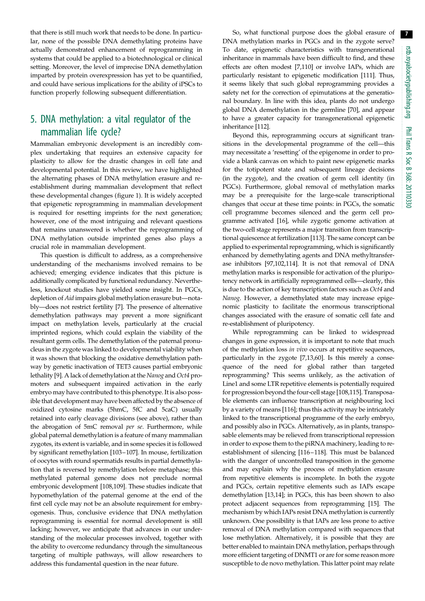that there is still much work that needs to be done. In particular, none of the possible DNA demethylating proteins have actually demonstrated enhancement of reprogramming in systems that could be applied to a biotechnological or clinical setting. Moreover, the level of imprecise DNA demethylation imparted by protein overexpression has yet to be quantified, and could have serious implications for the ability of iPSCs to function properly following subsequent differentiation.

## 5. DNA methylation: a vital regulator of the mammalian life cycle?

Mammalian embryonic development is an incredibly complex undertaking that requires an extensive capacity for plasticity to allow for the drastic changes in cell fate and developmental potential. In this review, we have highlighted the alternating phases of DNA methylation erasure and reestablishment during mammalian development that reflect these developmental changes ([figure 1\)](#page-1-0). It is widely accepted that epigenetic reprogramming in mammalian development is required for resetting imprints for the next generation; however, one of the most intriguing and relevant questions that remains unanswered is whether the reprogramming of DNA methylation outside imprinted genes also plays a crucial role in mammalian development.

This question is difficult to address, as a comprehensive understanding of the mechanisms involved remains to be achieved; emerging evidence indicates that this picture is additionally complicated by functional redundancy. Nevertheless, knockout studies have yielded some insight. In PGCs, depletion of Aid impairs global methylation erasure but—notably—does not restrict fertility [[7](#page-7-0)]. The presence of alternative demethylation pathways may prevent a more significant impact on methylation levels, particularly at the crucial imprinted regions, which could explain the viability of the resultant germ cells. The demethylation of the paternal pronucleus in the zygote was linked to developmental viability when it was shown that blocking the oxidative demethylation pathway by genetic inactivation of TET3 causes partial embryonic lethality [[9](#page-7-0)]. A lack of demethylation at the Nanog and Oct4 promoters and subsequent impaired activation in the early embryo may have contributed to this phenotype. It is also possible that development may have been affected by the absence of oxidized cytosine marks (5hmC, 5fC and 5caC) usually retained into early cleavage divisions (see above), rather than the abrogation of 5mC removal per se. Furthermore, while global paternal demethylation is a feature of many mammalian zygotes, its extent is variable, and in some species it is followed by significant remethylation [\[103](#page-9-0)–[107](#page-9-0)]. In mouse, fertilization of oocytes with round spermatids results in partial demethylation that is reversed by remethylation before metaphase; this methylated paternal genome does not preclude normal embryonic development [\[108,109](#page-9-0)]. These studies indicate that hypomethylation of the paternal genome at the end of the first cell cycle may not be an absolute requirement for embryogenesis. Thus, conclusive evidence that DNA methylation reprogramming is essential for normal development is still lacking; however, we anticipate that advances in our understanding of the molecular processes involved, together with the ability to overcome redundancy through the simultaneous targeting of multiple pathways, will allow researchers to address this fundamental question in the near future.

So, what functional purpose does the global erasure of DNA methylation marks in PGCs and in the zygote serve? To date, epigenetic characteristics with transgenerational inheritance in mammals have been difficult to find, and these effects are often modest [[7](#page-7-0),[110\]](#page-9-0) or involve IAPs, which are particularly resistant to epigenetic modification [[111](#page-9-0)]. Thus, it seems likely that such global reprogramming provides a safety net for the correction of epimutations at the generational boundary. In line with this idea, plants do not undergo global DNA demethylation in the germline [\[70](#page-8-0)], and appear to have a greater capacity for transgenerational epigenetic inheritance [\[112\]](#page-9-0).

Beyond this, reprogramming occurs at significant transitions in the developmental programme of the cell—this may necessitate a 'resetting' of the epigenome in order to provide a blank canvas on which to paint new epigenetic marks for the totipotent state and subsequent lineage decisions (in the zygote), and the creation of germ cell identity (in PGCs). Furthermore, global removal of methylation marks may be a prerequisite for the large-scale transcriptional changes that occur at these time points: in PGCs, the somatic cell programme becomes silenced and the germ cell programme activated [[16\]](#page-7-0), while zygotic genome activation at the two-cell stage represents a major transition from transcriptional quiescence at fertilization [[113](#page-9-0)]. The same concept can be applied to experimental reprogramming, which is significantly enhanced by demethylating agents and DNA methyltransferase inhibitors [[97,102](#page-9-0),[114\]](#page-9-0). It is not that removal of DNA methylation marks is responsible for activation of the pluripotency network in artificially reprogrammed cells—clearly, this is due to the action of key transcription factors such as Oct4 and Nanog. However, a demethylated state may increase epigenomic plasticity to facilitate the enormous transcriptional changes associated with the erasure of somatic cell fate and re-establishment of pluripotency.

While reprogramming can be linked to widespread changes in gene expression, it is important to note that much of the methylation loss in vivo occurs at repetitive sequences, particularly in the zygote [\[7,13](#page-7-0)[,60](#page-8-0)]. Is this merely a consequence of the need for global rather than targeted reprogramming? This seems unlikely, as the activation of Line1 and some LTR repetitive elements is potentially required for progression beyond the four-cell stage [\[108,](#page-9-0)[115](#page-10-0)]. Transposable elements can influence transcription at neighbouring loci by a variety of means [\[116\]](#page-10-0); thus this activity may be intricately linked to the transcriptional programme of the early embryo, and possibly also in PGCs. Alternatively, as in plants, transposable elements may be relieved from transcriptional repression in order to expose them to the piRNA machinery, leading to reestablishment of silencing [[116](#page-10-0)–[118\]](#page-10-0). This must be balanced with the danger of uncontrolled transposition in the genome and may explain why the process of methylation erasure from repetitive elements is incomplete. In both the zygote and PGCs, certain repetitive elements such as IAPs escape demethylation [\[13](#page-7-0),[14](#page-7-0)]; in PGCs, this has been shown to also protect adjacent sequences from reprogramming [[15\]](#page-7-0). The mechanism by which IAPs resist DNA methylation is currently unknown. One possibility is that IAPs are less prone to active removal of DNA methylation compared with sequences that lose methylation. Alternatively, it is possible that they are better enabled to maintain DNA methylation, perhaps through more efficient targeting of DNMT1 or are for some reason more susceptible to de novo methylation. This latter point may relate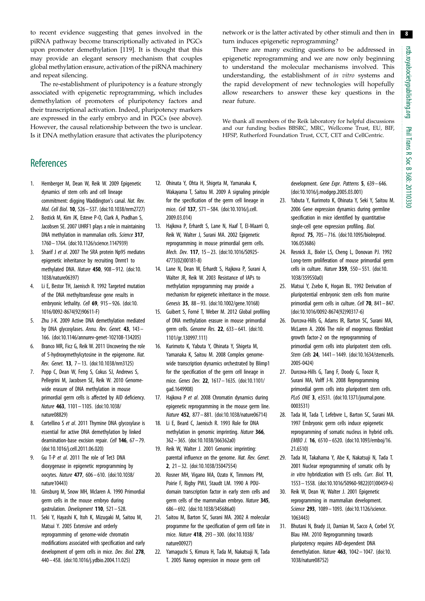<span id="page-7-0"></span>to recent evidence suggesting that genes involved in the piRNA pathway become transcriptionally activated in PGCs upon promoter demethylation [[119\]](#page-10-0). It is thought that this may provide an elegant sensory mechanism that couples global methylation erasure, activation of the piRNA machinery and repeat silencing.

The re-establishment of pluripotency is a feature strongly associated with epigenetic reprogramming, which includes demethylation of promoters of pluripotency factors and their transcriptional activation. Indeed, pluripotency markers are expressed in the early embryo and in PGCs (see above). However, the causal relationship between the two is unclear. Is it DNA methylation erasure that activates the pluripotency network or is the latter activated by other stimuli and then in turn induces epigenetic reprogramming?

There are many exciting questions to be addressed in epigenetic reprogramming and we are now only beginning to understand the molecular mechanisms involved. This understanding, the establishment of in vitro systems and the rapid development of new technologies will hopefully allow researchers to answer these key questions in the near future.

We thank all members of the Reik laboratory for helpful discussions and our funding bodies BBSRC, MRC, Wellcome Trust, EU, BIF, HFSP, Rutherford Foundation Trust, CCT, CET and CellCentric.

#### **References**

- 1. Hemberger M, Dean W, Reik W. 2009 Epigenetic dynamics of stem cells and cell lineage commitment: digging Waddington's canal. Nat. Rev. Mol. Cell Biol. 10, 526 – 537. ([doi:10.1038/nrm2727\)](http://dx.doi.org/10.1038/nrm2727)
- 2. Bostick M, Kim JK, Esteve P-O, Clark A, Pradhan S, Jacobsen SE. 2007 UHRF1 plays a role in maintaining DNA methylation in mammalian cells. Science 317, 1760– 1764. ([doi:10.1126/science.1147939](http://dx.doi.org/10.1126/science.1147939))
- 3. Sharif J et al. 2007 The SRA protein Np95 mediates epigenetic inheritance by recruiting Dnmt1 to methylated DNA. Nature 450, 908– 912. [\(doi:10.](http://dx.doi.org/10.1038/nature06397) [1038/nature06397](http://dx.doi.org/10.1038/nature06397))
- 4. Li E, Bestor TH, Jaenisch R. 1992 Targeted mutation of the DNA methyltransferase gene results in embryonic lethality. Cell 69, 915-926. [\(doi:10.](http://dx.doi.org/10.1016/0092-8674(92)90611-F) [1016/0092-8674\(92\)90611-F](http://dx.doi.org/10.1016/0092-8674(92)90611-F))
- 5. Zhu J-K. 2009 Active DNA demethylation mediated by DNA glycosylases. Annu. Rev. Genet. 43, 143-166. [\(doi:10.1146/annurev-genet-102108-134205](http://dx.doi.org/10.1146/annurev-genet-102108-134205))
- 6. Branco MR, Ficz G, Reik W. 2011 Uncovering the role of 5-hydroxymethylcytosine in the epigenome. Nat. Rev. Genet. 13, 7– 13. ([doi:10.1038/nrn3125](http://dx.doi.org/10.1038/nrn3125))
- 7. Popp C, Dean W, Feng S, Cokus SJ, Andrews S, Pellegrini M, Jacobsen SE, Reik W. 2010 Genomewide erasure of DNA methylation in mouse primordial germ cells is affected by AID deficiency. Nature 463, 1101– 1105. [\(doi:10.1038/](http://dx.doi.org/10.1038/nature08829) [nature08829](http://dx.doi.org/10.1038/nature08829))
- 8. Cortellino S et al. 2011 Thymine DNA glycosylase is essential for active DNA demethylation by linked deamination-base excision repair. Cell  $146$ ,  $67 - 79$ . [\(doi:10.1016/j.cell.2011.06.020\)](http://dx.doi.org/10.1016/j.cell.2011.06.020)
- 9. Gu T-P et al. 2011 The role of Tet3 DNA dioxygenase in epigenetic reprogramming by oocytes. Nature 477, 606 – 610. [\(doi:10.1038/](http://dx.doi.org/10.1038/nature10443) [nature10443](http://dx.doi.org/10.1038/nature10443))
- 10. Ginsburg M, Snow MH, Mclaren A. 1990 Primordial germ cells in the mouse embryo during gastrulation. Development 110, 521– 528.
- 11. Seki Y, Hayashi K, Itoh K, Mizugaki M, Saitou M, Matsui Y. 2005 Extensive and orderly reprogramming of genome-wide chromatin modifications associated with specification and early development of germ cells in mice. Dev. Biol. 278, 440– 458. ([doi:10.1016/j.ydbio.2004.11.025](http://dx.doi.org/10.1016/j.ydbio.2004.11.025))
- 12. Ohinata Y, Ohta H, Shigeta M, Yamanaka K, Wakayama T, Saitou M. 2009 A signaling principle for the specification of the germ cell lineage in mice. Cell 137, 571– 584. [\(doi:10.1016/j.cell.](http://dx.doi.org/10.1016/j.cell.2009.03.014) [2009.03.014\)](http://dx.doi.org/10.1016/j.cell.2009.03.014)
- 13. Hajkova P, Erhardt S, Lane N, Haaf T, El-Maarri O, Reik W, Walter J, Surani MA. 2002 Epigenetic reprogramming in mouse primordial germ cells. Mech. Dev. 117, 15 – 23. [\(doi:10.1016/S0925-](http://dx.doi.org/10.1016/S0925-4773(02)00181-8) [4773\(02\)00181-8](http://dx.doi.org/10.1016/S0925-4773(02)00181-8))
- 14. Lane N, Dean W, Erhardt S, Hajkova P, Surani A, Walter JR, Reik W. 2003 Resistance of IAPs to methylation reprogramming may provide a mechanism for epigenetic inheritance in the mouse. Genesis 35, 88 – 93. ([doi:10.1002/gene.10168](http://dx.doi.org/10.1002/gene.10168))
- 15. Guibert S, Forné T, Weber M. 2012 Global profiling of DNA methylation erasure in mouse primordial germ cells. Genome Res. 22, 633– 641. ([doi:10.](http://dx.doi.org/10.1101/gr.130997.111) [1101/gr.130997.111](http://dx.doi.org/10.1101/gr.130997.111))
- 16. Kurimoto K, Yabuta Y, Ohinata Y, Shigeta M, Yamanaka K, Saitou M. 2008 Complex genomewide transcription dynamics orchestrated by Blimp1 for the specification of the germ cell lineage in mice. Genes Dev. 22, 1617 – 1635. [\(doi:10.1101/](http://dx.doi.org/10.1101/gad.1649908) [gad.1649908](http://dx.doi.org/10.1101/gad.1649908))
- 17. Hajkova P et al. 2008 Chromatin dynamics during epigenetic reprogramming in the mouse germ line. Nature 452, 877– 881. [\(doi:10.1038/nature06714](http://dx.doi.org/10.1038/nature06714))
- 18. Li E, Beard C, Jaenisch R. 1993 Role for DNA methylation in genomic imprinting. Nature 366, 362 – 365. [\(doi:10.1038/366362a0\)](http://dx.doi.org/10.1038/366362a0)
- 19. Reik W, Walter J. 2001 Genomic imprinting: parental influence on the genome. Nat. Rev. Genet. 2, 21 – 32. [\(doi:10.1038/35047554\)](http://dx.doi.org/10.1038/35047554)
- 20. Rosner MH, Vigano MA, Ozato K, Timmons PM, Poirie F, Rigby PWJ, Staudt LM. 1990 A POUdomain transcription factor in early stem cells and germ cells of the mammalian embryo. Nature 345, 686 – 692. [\(doi:10.1038/345686a0\)](http://dx.doi.org/10.1038/345686a0)
- 21. Saitou M, Barton SC, Surani MA. 2002 A molecular programme for the specification of germ cell fate in mice. Nature 418, 293 – 300. ([doi:10.1038/](http://dx.doi.org/10.1038/nature00927) [nature00927](http://dx.doi.org/10.1038/nature00927))
- 22. Yamaguchi S, Kimura H, Tada M, Nakatsuji N, Tada T. 2005 Nanog expression in mouse germ cell

development. Gene Expr. Patterns 5, 639-646. ([doi:10.1016/j.modgep.2005.03.001](http://dx.doi.org/10.1016/j.modgep.2005.03.001))

- 23. Yabuta Y, Kurimoto K, Ohinata Y, Seki Y, Saitou M. 2006 Gene expression dynamics during germline specification in mice identified by quantitative single-cell gene expression profiling. Biol. Reprod. 75, 705– 716. ([doi:10.1095/biolreprod.](http://dx.doi.org/10.1095/biolreprod.106.053686) [106.053686\)](http://dx.doi.org/10.1095/biolreprod.106.053686)
- 24. Resnick JL, Bixler LS, Cheng L, Donovan PJ. 1992 Long-term proliferation of mouse primordial germ cells in culture. Nature 359, 550– 551. [\(doi:10.](http://dx.doi.org/10.1038/359550a0) [1038/359550a0](http://dx.doi.org/10.1038/359550a0))
- 25. Matsui Y, Zsebo K, Hogan BL. 1992 Derivation of pluripotential embryonic stem cells from murine primordial germ cells in culture. Cell 70, 841-847. ([doi:10.1016/0092-8674\(92\)90317-6\)](http://dx.doi.org/10.1016/0092-8674(92)90317-6)
- 26. Durcova-Hills G, Adams IR, Barton SC, Surani MA, McLaren A. 2006 The role of exogenous fibroblast growth factor-2 on the reprogramming of primordial germ cells into pluripotent stem cells. Stem Cells 24, 1441-1449. [\(doi:10.1634/stemcells.](http://dx.doi.org/10.1634/stemcells.2005-0424) [2005-0424](http://dx.doi.org/10.1634/stemcells.2005-0424))
- 27. Durcova-Hills G, Tang F, Doody G, Tooze R, Surani MA, Volff J-N. 2008 Reprogramming primordial germ cells into pluripotent stem cells. PLoS ONE 3, e3531. [\(doi:10.1371/journal.pone.](http://dx.doi.org/10.1371/journal.pone.0003531) [0003531](http://dx.doi.org/10.1371/journal.pone.0003531))
- 28. Tada M, Tada T, Lefebvre L, Barton SC, Surani MA. 1997 Embryonic germ cells induce epigenetic reprogramming of somatic nucleus in hybrid cells. EMBO J. 16, 6510– 6520. ([doi:10.1093/emboj/16.](http://dx.doi.org/10.1093/emboj/16.21.6510) [21.6510\)](http://dx.doi.org/10.1093/emboj/16.21.6510)
- 29. Tada M, Takahama Y, Abe K, Nakatsuji N, Tada T. 2001 Nuclear reprogramming of somatic cells by in vitro hybridization with ES cells. Curr. Biol. 11, 1553– 1558. ([doi:10.1016/S0960-9822\(01\)00459-6](http://dx.doi.org/10.1016/S0960-9822(01)00459-6))
- 30. Reik W, Dean W, Walter J. 2001 Epigenetic reprogramming in mammalian development. Science 293, 1089-1093. ([doi:10.1126/science.](http://dx.doi.org/10.1126/science.1063443) [1063443](http://dx.doi.org/10.1126/science.1063443))
- 31. Bhutani N, Brady JJ, Damian M, Sacco A, Corbel SY, Blau HM. 2010 Reprogramming towards pluripotency requires AID-dependent DNA demethylation. Nature 463, 1042– 1047. [\(doi:10.](http://dx.doi.org/10.1038/nature08752) [1038/nature08752](http://dx.doi.org/10.1038/nature08752))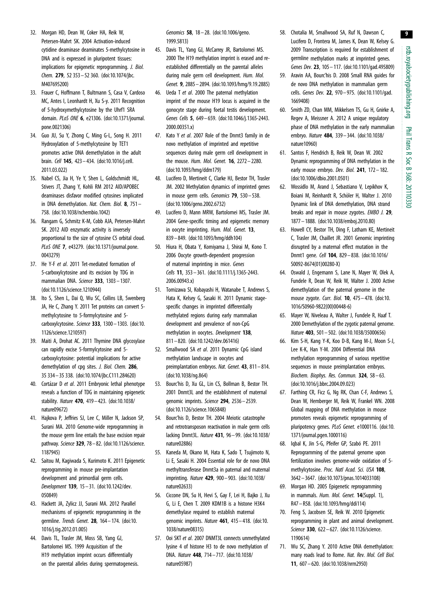- <span id="page-8-0"></span>32. Morgan HD, Dean W, Coker HA, Reik W, Petersen-Mahrt SK. 2004 Activation-induced cytidine deaminase deaminates 5-methylcytosine in DNA and is expressed in pluripotent tissues: implications for epigenetic reprogramming. J. Biol. Chem. 279, 52 353– 52 360. [\(doi:10.1074/jbc.](http://dx.doi.org/10.1074/jbc.M407695200) [M407695200\)](http://dx.doi.org/10.1074/jbc.M407695200)
- 33. Frauer C, Hoffmann T, Bultmann S, Casa V, Cardoso MC, Antes I, Leonhardt H, Xu S-y. 2011 Recognition of 5-hydroxymethylcytosine by the Uhrf1 SRA domain. PLoS ONE 6, e21306. ([doi:10.1371/journal.](http://dx.doi.org/10.1371/journal.pone.0021306) [pone.0021306](http://dx.doi.org/10.1371/journal.pone.0021306))
- 34. Guo JU, Su Y, Zhong C, Ming G-L, Song H. 2011 Hydroxylation of 5-methylcytosine by TET1 promotes active DNA demethylation in the adult brain. Cell 145, 423– 434. [\(doi:10.1016/j.cell.](http://dx.doi.org/10.1016/j.cell.2011.03.022) [2011.03.022\)](http://dx.doi.org/10.1016/j.cell.2011.03.022)
- 35. Nabel CS, Jia H, Ye Y, Shen L, Goldschmidt HL, Stivers JT, Zhang Y, Kohli RM 2012 AID/APOBEC deaminases disfavor modified cytosines implicated in DNA demethylation. Nat. Chem. Biol. 8, 751 – 758. [\(doi:10.1038/nchembio.1042\)](http://dx.doi.org/10.1038/nchembio.1042)
- 36. Rangam G, Schmitz K-M, Cobb AJA, Petersen-Mahrt SK. 2012 AID enzymatic activity is inversely proportional to the size of cytosine C5 orbital cloud. PLoS ONE 7, e43279. [\(doi:10.1371/journal.pone.](http://dx.doi.org/10.1371/journal.pone.0043279) [0043279\)](http://dx.doi.org/10.1371/journal.pone.0043279)
- 37. He Y-F et al. 2011 Tet-mediated formation of 5-carboxylcytosine and its excision by TDG in mammalian DNA. Science 333, 1303 – 1307. [\(doi:10.1126/science.1210944\)](http://dx.doi.org/10.1126/science.1210944)
- 38. Ito S, Shen L, Dai Q, Wu SC, Collins LB, Swenberg JA, He C, Zhang Y. 2011 Tet proteins can convert 5 methylcytosine to 5-formylcytosine and 5 carboxylcytosine. Science 333, 1300– 1303. ([doi:10.](http://dx.doi.org/10.1126/science.1210597) [1126/science.1210597\)](http://dx.doi.org/10.1126/science.1210597)
- 39. Maiti A, Drohat AC. 2011 Thymine DNA glycosylase can rapidly excise 5-formylcytosine and 5 carboxylcytosine: potential implications for active demethylation of cpg sites. J. Biol. Chem. 286, 35 334– 35 338. ([doi:10.1074/jbc.C111.284620](http://dx.doi.org/10.1074/jbc.C111.284620))
- 40. Cortázar D et al. 2011 Embryonic lethal phenotype reveals a function of TDG in maintaining epigenetic stability. Nature 470, 419– 423. [\(doi:10.1038/](http://dx.doi.org/10.1038/nature09672) [nature09672](http://dx.doi.org/10.1038/nature09672))
- 41. Hajkova P, Jeffries SJ, Lee C, Miller N, Jackson SP, Surani MA. 2010 Genome-wide reprogramming in the mouse germ line entails the base excision repair pathway. Science 329, 78 – 82. ([doi:10.1126/science.](http://dx.doi.org/10.1126/science.1187945) [1187945\)](http://dx.doi.org/10.1126/science.1187945)
- 42. Saitou M, Kagiwada S, Kurimoto K. 2011 Epigenetic reprogramming in mouse pre-implantation development and primordial germ cells. Development 139, 15 – 31. ([doi:10.1242/dev.](http://dx.doi.org/10.1242/dev.050849) [050849](http://dx.doi.org/10.1242/dev.050849))
- 43. Hackett JA, Zylicz JJ, Surani MA. 2012 Parallel mechanisms of epigenetic reprogramming in the germline. Trends Genet. 28, 164– 174. [\(doi:10.](http://dx.doi.org/10.1016/j.tig.2012.01.005) [1016/j.tig.2012.01.005](http://dx.doi.org/10.1016/j.tig.2012.01.005))
- 44. Davis TL, Trasler JM, Moss SB, Yang GJ, Bartolomei MS. 1999 Acquisition of the H19 methylation imprint occurs differentially on the parental alleles during spermatogenesis.

Genomics 58, 18 – 28. [\(doi:10.1006/geno.](http://dx.doi.org/10.1006/geno.1999.5813) [1999.5813\)](http://dx.doi.org/10.1006/geno.1999.5813)

- 45. Davis TL, Yang GJ, McCarrey JR, Bartolomei MS. 2000 The H19 methylation imprint is erased and reestablished differentially on the parental alleles during male germ cell development. Hum. Mol. Genet. 9, 2885– 2894. [\(doi:10.1093/hmg/9.19.2885\)](http://dx.doi.org/10.1093/hmg/9.19.2885)
- 46. Ueda T et al. 2000 The paternal methylation imprint of the mouse H19 locus is acquired in the gonocyte stage during foetal testis development. Genes Cells 5, 649– 659. [\(doi:10.1046/j.1365-2443.](http://dx.doi.org/10.1046/j.1365-2443.2000.00351.x) [2000.00351.x\)](http://dx.doi.org/10.1046/j.1365-2443.2000.00351.x)
- 47. Kato Y et al. 2007 Role of the Dnmt3 family in de novo methylation of imprinted and repetitive sequences during male germ cell development in the mouse. Hum. Mol. Genet. 16, 2272– 2280. [\(doi:10.1093/hmg/ddm179\)](http://dx.doi.org/10.1093/hmg/ddm179)
- 48. Lucifero D, Mertineit C, Clarke HJ, Bestor TH, Trasler JM. 2002 Methylation dynamics of imprinted genes in mouse germ cells. Genomics 79, 530-538. [\(doi:10.1006/geno.2002.6732\)](http://dx.doi.org/10.1006/geno.2002.6732)
- 49. Lucifero D, Mann MRW, Bartolomei MS, Trasler JM. 2004 Gene-specific timing and epigenetic memory in oocyte imprinting. Hum. Mol. Genet. 13, 839 – 849. [\(doi:10.1093/hmg/ddh104\)](http://dx.doi.org/10.1093/hmg/ddh104)
- 50. Hiura H, Obata Y, Komiyama J, Shirai M, Kono T. 2006 Oocyte growth-dependent progression of maternal imprinting in mice. Genes Cells 11, 353– 361. [\(doi:10.1111/j.1365-2443.](http://dx.doi.org/10.1111/j.1365-2443.2006.00943.x) [2006.00943.x\)](http://dx.doi.org/10.1111/j.1365-2443.2006.00943.x)
- 51. Tomizawa SI, Kobayashi H, Watanabe T, Andrews S, Hata K, Kelsey G, Sasaki H. 2011 Dynamic stagespecific changes in imprinted differentially methylated regions during early mammalian development and prevalence of non-CpG methylation in oocytes. Development 138, 811 – 820. [\(doi:10.1242/dev.061416\)](http://dx.doi.org/10.1242/dev.061416)
- 52. Smallwood SA et al. 2011 Dynamic CpG island methylation landscape in oocytes and preimplantation embryos. Nat. Genet. 43, 811– 814. [\(doi:10.1038/ng.864\)](http://dx.doi.org/10.1038/ng.864)
- 53. Bourc'his D, Xu GL, Lin CS, Bollman B, Bestor TH. 2001 Dnmt3L and the establishment of maternal genomic imprints. Science 294, 2536 - 2539. [\(doi:10.1126/science.1065848](http://dx.doi.org/10.1126/science.1065848))
- 54. Bourc'his D, Bestor TH. 2004 Meiotic catastrophe and retrotransposon reactivation in male germ cells lacking Dnmt3L. Nature 431, 96 – 99. [\(doi:10.1038/](http://dx.doi.org/10.1038/nature02886) [nature02886](http://dx.doi.org/10.1038/nature02886))
- 55. Kaneda M, Okano M, Hata K, Sado T, Tsujimoto N, Li E, Sasaki H. 2004 Essential role for de novo DNA methyltransferase Dnmt3a in paternal and maternal imprinting. Nature 429, 900– 903. ([doi:10.1038/](http://dx.doi.org/10.1038/nature02633) [nature02633](http://dx.doi.org/10.1038/nature02633))
- 56. Ciccone DN, Su H, Hevi S, Gay F, Lei H, Bajko J, Xu G, Li E, Chen T. 2009 KDM1B is a histone H3K4 demethylase required to establish maternal genomic imprints. Nature 461, 415– 418. [\(doi:10.](http://dx.doi.org/10.1038/nature08315) [1038/nature08315](http://dx.doi.org/10.1038/nature08315))
- 57. Ooi SKT et al. 2007 DNMT3L connects unmethylated lysine 4 of histone H3 to de novo methylation of DNA. Nature 448, 714 – 717. ([doi:10.1038/](http://dx.doi.org/10.1038/nature05987) [nature05987](http://dx.doi.org/10.1038/nature05987))
- 58. Chotalia M, Smallwood SA, Ruf N, Dawson C, Lucifero D, Frontera M, James K, Dean W, Kelsey G. 2009 Transcription is required for establishment of germline methylation marks at imprinted genes. Genes Dev. 23, 105 – 117. ([doi:10.1101/gad.495809](http://dx.doi.org/10.1101/gad.495809))
- 59. Aravin AA, Bourc'his D. 2008 Small RNA guides for de novo DNA methylation in mammalian germ cells. Genes Dev. 22, 970– 975. [\(doi:10.1101/gad.](http://dx.doi.org/10.1101/gad.1669408) [1669408](http://dx.doi.org/10.1101/gad.1669408))
- 60. Smith ZD, Chan MM, Mikkelsen TS, Gu H, Gnirke A, Regev A, Meissner A. 2012 A unique regulatory phase of DNA methylation in the early mammalian embryo. Nature 484, 339– 344. [\(doi:10.1038/](http://dx.doi.org/10.1038/nature10960) [nature10960](http://dx.doi.org/10.1038/nature10960))
- 61. Santos F, Hendrich B, Reik W, Dean W. 2002 Dynamic reprogramming of DNA methylation in the early mouse embryo. Dev. Biol. 241, 172-182. ([doi:10.1006/dbio.2001.0501\)](http://dx.doi.org/10.1006/dbio.2001.0501)
- 62. Wossidlo M, Arand J, Sebastiano V, Lepikhov K, Boiani M, Reinhardt R, Schöler H, Walter J. 2010 Dynamic link of DNA demethylation, DNA strand breaks and repair in mouse zygotes. EMBO J. 29, 1877– 1888. ([doi:10.1038/emboj.2010.80](http://dx.doi.org/10.1038/emboj.2010.80))
- 63. Howell CY, Bestor TH, Ding F, Latham KE, Mertineit C, Trasler JM, Chaillet JR. 2001 Genomic imprinting disrupted by a maternal effect mutation in the Dnmt1 gene. Cell 104, 829– 838. [\(doi:10.1016/](http://dx.doi.org/10.1016/S0092-8674(01)00280-X) [S0092-8674\(01\)00280-X](http://dx.doi.org/10.1016/S0092-8674(01)00280-X))
- 64. Oswald J, Engemann S, Lane N, Mayer W, Olek A, Fundele R, Dean W, Reik W, Walter J. 2000 Active demethylation of the paternal genome in the mouse zygote. Curr. Biol. 10, 475– 478. [\(doi:10.](http://dx.doi.org/10.1016/S0960-9822(00)00448-6) [1016/S0960-9822\(00\)00448-6](http://dx.doi.org/10.1016/S0960-9822(00)00448-6))
- 65. Mayer W, Niveleau A, Walter J, Fundele R, Haaf T. 2000 Demethylation of the zygotic paternal genome. Nature 403, 501– 502. ([doi:10.1038/35000656](http://dx.doi.org/10.1038/35000656))
- 66. Kim S-H, Kang Y-K, Koo D-B, Kang M-J, Moon S-J, Lee K-K, Han Y-M. 2004 Differential DNA methylation reprogramming of various repetitive sequences in mouse preimplantation embryos. Biochem. Biophys. Res. Commun. 324, 58-63. ([doi:10.1016/j.bbrc.2004.09.023](http://dx.doi.org/10.1016/j.bbrc.2004.09.023))
- 67. Farthing CR, Ficz G, Ng RK, Chan C-F, Andrews S, Dean W, Hemberger M, Reik W, Frankel WN. 2008 Global mapping of DNA methylation in mouse promoters reveals epigenetic reprogramming of pluripotency genes. PLoS Genet. e1000116. [\(doi:10.](http://dx.doi.org/10.1371/journal.pgen.1000116) [1371/journal.pgen.1000116\)](http://dx.doi.org/10.1371/journal.pgen.1000116)
- 68. Iqbal K, Jin S-G, Pfeifer GP, Szabó PE. 2011 Reprogramming of the paternal genome upon fertilization involves genome-wide oxidation of 5 methylcytosine. Proc. Natl Acad. Sci. USA 108. 3642– 3647. ([doi:10.1073/pnas.1014033108\)](http://dx.doi.org/10.1073/pnas.1014033108)
- 69. Morgan HD. 2005 Epigenetic reprogramming in mammals. Hum. Mol. Genet. 14(Suppl. 1), R47–R58. ([doi:10.1093/hmg/ddi114](http://dx.doi.org/10.1093/hmg/ddi114))
- 70. Feng S, Jacobsen SE, Reik W. 2010 Epigenetic reprogramming in plant and animal development. Science 330, 622– 627. [\(doi:10.1126/science.](http://dx.doi.org/10.1126/science.1190614) [1190614](http://dx.doi.org/10.1126/science.1190614))
- 71. Wu SC, Zhang Y. 2010 Active DNA demethylation: many roads lead to Rome. Nat. Rev. Mol. Cell Biol. 11, 607 – 620. [\(doi:10.1038/nrm2950\)](http://dx.doi.org/10.1038/nrm2950)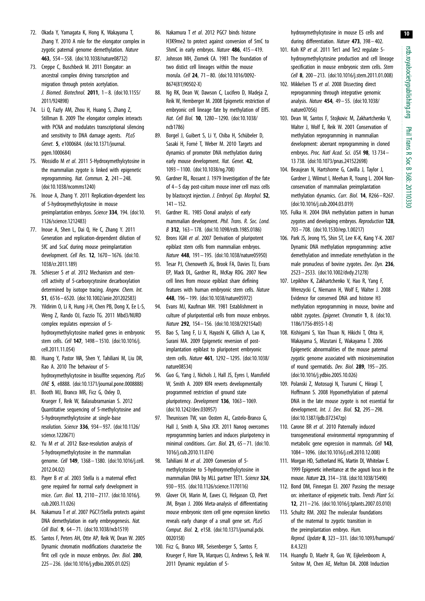- <span id="page-9-0"></span>72. Okada Y, Yamagata K, Hong K, Wakayama T, Zhang Y. 2010 A role for the elongator complex in zygotic paternal genome demethylation. Nature 463, 554– 558. [\(doi:10.1038/nature08732](http://dx.doi.org/10.1038/nature08732))
- 73. Creppe C, Buschbeck M. 2011 Elongator: an ancestral complex driving transcription and migration through protein acetylation. J. Biomed. Biotechnol. 2011, 1– 8. [\(doi:10.1155/](http://dx.doi.org/10.1155/2011/924898) [2011/924898](http://dx.doi.org/10.1155/2011/924898))
- 74. Li Q, Fazly AM, Zhou H, Huang S, Zhang Z, Stillman B. 2009 The elongator complex interacts with PCNA and modulates transcriptional silencing and sensitivity to DNA damage agents. PLoS Genet. 5, e1000684. [\(doi:10.1371/journal.](http://dx.doi.org/10.1371/journal.pgen.1000684) [pgen.1000684](http://dx.doi.org/10.1371/journal.pgen.1000684))
- 75. Wossidlo M et al. 2011 5-Hydroxymethylcytosine in the mammalian zygote is linked with epigenetic reprogramming. Nat. Commun. 2, 241– 248. [\(doi:10.1038/ncomms1240\)](http://dx.doi.org/10.1038/ncomms1240)
- 76. Inoue A, Zhang Y. 2011 Replication-dependent loss of 5-hydroxymethylcytosine in mouse preimplantation embryos. Science 334, 194. ([doi:10.](http://dx.doi.org/10.1126/science.1212483) [1126/science.1212483\)](http://dx.doi.org/10.1126/science.1212483)
- 77. Inoue A, Shen L, Dai Q, He C, Zhang Y. 2011 Generation and replication-dependent dilution of 5fC and 5caC during mouse preimplantation development. Cell Res. 12, 1670– 1676. ([doi:10.](http://dx.doi.org/10.1038/cr.2011.189) [1038/cr.2011.189\)](http://dx.doi.org/10.1038/cr.2011.189)
- 78. Schiesser S et al. 2012 Mechanism and stemcell activity of 5-carboxycytosine decarboxylation determined by isotope tracing. Angew. Chem. Int. 51, 6516– 6520. [\(doi:10.1002/anie.201202583\)](http://dx.doi.org/10.1002/anie.201202583)
- 79. Yildirim O, Li R, Hung J-H, Chen PB, Dong X, Ee L-S, Weng Z, Rando OJ, Fazzio TG. 2011 Mbd3/NURD complex regulates expression of 5 hydroxymethylcytosine marked genes in embryonic stem cells. Cell 147, 1498– 1510. [\(doi:10.1016/j.](http://dx.doi.org/10.1016/j.cell.2011.11.054) [cell.2011.11.054\)](http://dx.doi.org/10.1016/j.cell.2011.11.054)
- 80. Huang Y, Pastor WA, Shen Y, Tahiliani M, Liu DR, Rao A. 2010 The behaviour of 5 hydroxymethylcytosine in bisulfite sequencing. PLoS ONE 5, e8888. [\(doi:10.1371/journal.pone.0008888\)](http://dx.doi.org/10.1371/journal.pone.0008888)
- 81. Booth MJ, Branco MR, Ficz G, Oxley D, Krueger F, Reik W, Balasubramanian S. 2012 Quantitative sequencing of 5-methylcytosine and 5-hydroxymethylcytosine at single-base resolution. Science 336, 934– 937. [\(doi:10.1126/](http://dx.doi.org/10.1126/science.1220671) [science.1220671\)](http://dx.doi.org/10.1126/science.1220671)
- 82. Yu M et al. 2012 Base-resolution analysis of 5-hydroxymethylcytosine in the mammalian genome. Cell 149, 1368 – 1380. [\(doi:10.1016/j.cell.](http://dx.doi.org/10.1016/j.cell.2012.04.02) [2012.04.02](http://dx.doi.org/10.1016/j.cell.2012.04.02))
- 83. Payer B et al. 2003 Stella is a maternal effect gene required for normal early development in mice. Curr. Biol. 13, 2110– 2117. ([doi:10.1016/j.](http://dx.doi.org/10.1016/j.cub.2003.11.026) [cub.2003.11.026](http://dx.doi.org/10.1016/j.cub.2003.11.026))
- 84. Nakamura T et al. 2007 PGC7/Stella protects against DNA demethylation in early embryogenesis. Nat. Cell Biol. 9, 64– 71. [\(doi:10.1038/ncb1519](http://dx.doi.org/10.1038/ncb1519))
- 85. Santos F, Peters AH, Otte AP, Reik W, Dean W. 2005 Dynamic chromatin modifications characterise the first cell cycle in mouse embryos. Dev. Biol. 280, 225– 236. ([doi:10.1016/j.ydbio.2005.01.025](http://dx.doi.org/10.1016/j.ydbio.2005.01.025))
- 86. Nakamura T et al. 2012 PGC7 binds histone H3K9me2 to protect against conversion of 5mC to 5hmC in early embryos. Nature 486, 415– 419.
- 87. Johnson MH, Ziomek CA. 1981 The foundation of two distict cell lineages within the mouse morula. Cell 24, 71 – 80. [\(doi:10.1016/0092-](http://dx.doi.org/10.1016/0092-8674(81)90502-X) [8674\(81\)90502-X](http://dx.doi.org/10.1016/0092-8674(81)90502-X))
- 88. Ng RK, Dean W, Dawson C, Lucifero D, Madeja Z, Reik W, Hemberger M. 2008 Epigenetic restriction of embryonic cell lineage fate by methylation of Elf5. Nat. Cell Biol. 10, 1280– 1290. [\(doi:10.1038/](http://dx.doi.org/10.1038/ncb1786) [ncb1786](http://dx.doi.org/10.1038/ncb1786))
- 89. Borgel J, Guibert S, Li Y, Chiba H, Schübeler D, Sasaki H, Forné T, Weber M. 2010 Targets and dynamics of promoter DNA methylation during early mouse development. Nat. Genet. 42, 1093– 1100. [\(doi:10.1038/ng.708\)](http://dx.doi.org/10.1038/ng.708)
- 90. Gardner RL, Rossant J. 1979 Investigation of the fate of 4– 5 day post-coitum mouse inner cell mass cells by blastocyst injection. J. Embryol. Exp. Morphol. 52, 141 – 152.
- 91. Gardner RL. 1985 Clonal analysis of early mammalian development. Phil. Trans. R. Soc. Lond. B 312, 163– 178. ([doi:10.1098/rstb.1985.0186](http://dx.doi.org/10.1098/rstb.1985.0186))
- 92. Brons IGM et al. 2007 Derivation of pluripotent epiblast stem cells from mammalian embryos. Nature 448, 191– 195. [\(doi:10.1038/nature05950](http://dx.doi.org/10.1038/nature05950))
- 93. Tesar PJ, Chenoweth JG, Brook FA, Davies TJ, Evans EP, Mack DL, Gardner RL, McKay RDG. 2007 New cell lines from mouse epiblast share defining features with human embryonic stem cells. Nature 448, 196 – 199. [\(doi:10.1038/nature05972](http://dx.doi.org/10.1038/nature05972))
- 94. Evans MJ, Kaufman MH. 1981 Establishment in culture of pluripotential cells from mouse embryos. Nature 292, 154– 156. [\(doi:10.1038/292154a0\)](http://dx.doi.org/10.1038/292154a0)
- 95. Bao S, Tang F, Li X, Hayashi K, Gillich A, Lao K, Surani MA. 2009 Epigenetic reversion of postimplantation epiblast to pluripotent embryonic stem cells. Nature 461, 1292– 1295. ([doi:10.1038/](http://dx.doi.org/10.1038/nature08534) [nature08534](http://dx.doi.org/10.1038/nature08534))
- 96. Guo G, Yang J, Nichols J, Hall JS, Eyres I, Mansfield W, Smith A. 2009 Klf4 reverts developmentally programmed restriction of ground state pluripotency. Development 136, 1063– 1069. [\(doi:10.1242/dev.030957](http://dx.doi.org/10.1242/dev.030957))
- 97. Theunissen TW, van Oosten AL, Castelo-Branco G, Hall J, Smith A, Silva JCR. 2011 Nanog overcomes reprogramming barriers and induces pluripotency in minimal conditions. Curr. Biol. 21, 65-71. [\(doi:10.](http://dx.doi.org/10.1016/j.cub.2010.11.074) [1016/j.cub.2010.11.074](http://dx.doi.org/10.1016/j.cub.2010.11.074))
- 98. Tahiliani M et al. 2009 Conversion of 5methylcytosine to 5-hydroxymethylcytosine in mammalian DNA by MLL partner TET1. Science 324, 930 – 935. [\(doi:10.1126/science.1170116\)](http://dx.doi.org/10.1126/science.1170116)
- 99. Glover CH, Marin M, Eaves CJ, Helgason CD, Piret JM, Bryan J. 2006 Meta-analysis of differentiating mouse embryonic stem cell gene expression kinetics reveals early change of a small gene set. PLoS Comput. Biol. 2, e158. ([doi:10.1371/journal.pcbi.](http://dx.doi.org/10.1371/journal.pcbi.0020158) [0020158\)](http://dx.doi.org/10.1371/journal.pcbi.0020158)
- 100. Ficz G, Branco MR, Seisenberger S, Santos F, Krueger F, Hore TA, Marques CJ, Andrews S, Reik W. 2011 Dynamic regulation of 5-

hydroxymethylcytosine in mouse ES cells and during differentiation. Nature 473, 398– 402.

- 101. Koh KP et al. 2011 Tet1 and Tet2 regulate 5 hydroxymethylcytosine production and cell lineage specification in mouse embryonic stem cells. Stem Cell 8, 200 – 213. ([doi:10.1016/j.stem.2011.01.008](http://dx.doi.org/10.1016/j.stem.2011.01.008))
- 102. Mikkelsen TS et al. 2008 Dissecting direct reprogramming through integrative genomic analysis. Nature 454, 49 – 55. [\(doi:10.1038/](http://dx.doi.org/10.1038/nature07056) [nature07056](http://dx.doi.org/10.1038/nature07056))
- 103. Dean W, Santos F, Stojkovic M, Zakhartchenko V, Walter J, Wolf E, Reik W. 2001 Conservation of methylation reprogramming in mammalian development: aberrant reprogramming in cloned embryos. Proc. Natl Acad. Sci. USA 98, 13 734-13 738. [\(doi:10.1073/pnas.241522698\)](http://dx.doi.org/10.1073/pnas.241522698)
- 104. Beaujean N, Hartshorne G, Cavilla J, Taylor J, Gardner J, Wilmut I, Meehan R, Young L. 2004 Nonconservation of mammalian preimplantation methylation dynamics. Curr. Biol. 14, R266 –R267. ([doi:10.1016/j.cub.2004.03.019](http://dx.doi.org/10.1016/j.cub.2004.03.019))
- 105. Fulka H. 2004 DNA methylation pattern in human zygotes and developing embryos. Reproduction 128, 703– 708. [\(doi:10.1530/rep.1.00217](http://dx.doi.org/10.1530/rep.1.00217))
- 106. Park JS, Jeong YS, Shin ST, Lee K-K, Kang Y-K. 2007 Dynamic DNA methylation reprogramming: active demethylation and immediate remethylation in the male pronucleus of bovine zygotes. Dev. Dyn. 236, 2523– 2533. ([doi:10.1002/dvdy.21278](http://dx.doi.org/10.1002/dvdy.21278))
- 107. Lepikhov K, Zakhartchenko V, Hao R, Yang F, Wrenzycki C, Niemann H, Wolf E, Walter J. 2008 Evidence for conserved DNA and histone H3 methylation reprogramming in mouse, bovine and rabbit zygotes. Epigenet. Chromatin 1, 8. [\(doi:10.](http://dx.doi.org/10.1186/1756-8935-1-8) [1186/1756-8935-1-8\)](http://dx.doi.org/10.1186/1756-8935-1-8)
- 108. Kishigami S, Van Thuan N, Hikichi T, Ohta H, Wakayama S, Mizutani E, Wakayama T. 2006 Epigenetic abnormalities of the mouse paternal zygotic genome associated with microinsemination of round spermatids. Dev. Biol. 289, 195– 205. ([doi:10.1016/j.ydbio.2005.10.026\)](http://dx.doi.org/10.1016/j.ydbio.2005.10.026)
- 109. Polanski Z, Motosugi N, Tsurumi C, Hiiragi T, Hoffmann S. 2008 Hypomethylation of paternal DNA in the late mouse zygote is not essential for development. Int. J. Dev. Biol. 52, 295– 298. ([doi:10.1387/ijdb.072347zp](http://dx.doi.org/10.1387/ijdb.072347zp))
- 110. Carone BR et al. 2010 Paternally induced transgenerational environmental reprogramming of metabolic gene expression in mammals. Cell 143, 1084– 1096. ([doi:10.1016/j.cell.2010.12.008](http://dx.doi.org/10.1016/j.cell.2010.12.008))
- 111. Morgan HD, Sutherland HG, Martin DI, Whitelaw E. 1999 Epigenetic inheritance at the agouti locus in the mouse. Nature 23, 314–318. [\(doi:10.1038/15490](http://dx.doi.org/10.1038/15490))
- 112. Bond DM, Finnegan EJ. 2007 Passing the message on: inheritance of epigenetic traits. Trends Plant Sci. 12, 211 – 216. [\(doi:10.1016/j.tplants.2007.03.010\)](http://dx.doi.org/10.1016/j.tplants.2007.03.010)
- 113. Schultz RM. 2002 The molecular foundations of the maternal to zygotic transition in the preimplantation embryo. Hum. Reprod. Update 8, 323– 331. [\(doi:10.1093/humupd/](http://dx.doi.org/10.1093/humupd/8.4.323) [8.4.323\)](http://dx.doi.org/10.1093/humupd/8.4.323)
- 114. Huangfu D, Maehr R, Guo W, Eijkelenboom A, Snitow M, Chen AE, Melton DA. 2008 Induction